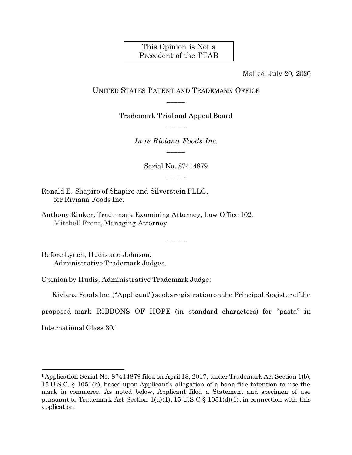### This Opinion is Not a Precedent of the TTAB

Mailed: July 20, 2020

#### UNITED STATES PATENT AND TRADEMARK OFFICE \_\_\_\_\_

Trademark Trial and Appeal Board \_\_\_\_\_

> *In re Riviana Foods Inc.* \_\_\_\_\_

> > Serial No. 87414879 \_\_\_\_\_

> > > \_\_\_\_\_

Ronald E. Shapiro of Shapiro and Silverstein PLLC, for Riviana Foods Inc.

Anthony Rinker, Trademark Examining Attorney, Law Office 102, Mitchell Front, Managing Attorney.

Before Lynch, Hudis and Johnson, Administrative Trademark Judges.

Opinion by Hudis, Administrative Trademark Judge:

Riviana Foods Inc. ("Applicant") seeks registration on the Principal Register of the

proposed mark RIBBONS OF HOPE (in standard characters) for "pasta" in

International Class 30. 1

l

<sup>1</sup>Application Serial No. 87414879 filed on April 18, 2017, under Trademark Act Section 1(b), 15 U.S.C. § 1051(b), based upon Applicant's allegation of a bona fide intention to use the mark in commerce. As noted below, Applicant filed a Statement and specimen of use pursuant to Trademark Act Section  $1(d)(1)$ , 15 U.S.C §  $1051(d)(1)$ , in connection with this application.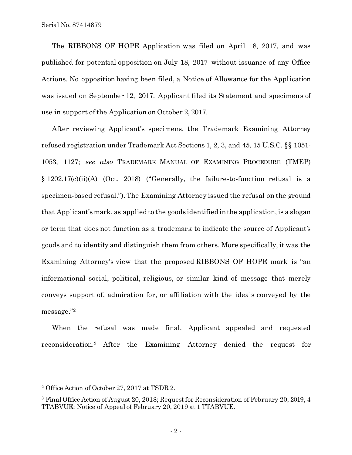The RIBBONS OF HOPE Application was filed on April 18, 2017, and was published for potential opposition on July 18, 2017 without issuance of any Office Actions. No opposition having been filed, a Notice of Allowance for the Application was issued on September 12, 2017. Applicant filed its Statement and specimens of use in support of the Application on October 2, 2017.

After reviewing Applicant's specimens, the Trademark Examining Attorney refused registration under Trademark Act Sections 1, 2, 3, and 45, 15 U.S.C. §§ 1051- 1053, 1127; *see also* TRADEMARK MANUAL OF EXAMINING PROCEDURE (TMEP) § 1202.17(c)(ii)(A) (Oct. 2018) ("Generally, the failure-to-function refusal is a specimen-based refusal."). The Examining Attorney issued the refusal on the ground that Applicant's mark, as applied to the goods identified in the application, is a slogan or term that does not function as a trademark to indicate the source of Applicant's goods and to identify and distinguish them from others. More specifically, it was the Examining Attorney's view that the proposed RIBBONS OF HOPE mark is "an informational social, political, religious, or similar kind of message that merely conveys support of, admiration for, or affiliation with the ideals conveyed by the message." 2

When the refusal was made final, Applicant appealed and requested reconsideration.<sup>3</sup> After the Examining Attorney denied the request for

l

<sup>2</sup> Office Action of October 27, 2017 at TSDR 2.

<sup>3</sup> Final Office Action of August 20, 2018; Request for Reconsideration of February 20, 2019, 4 TTABVUE; Notice of Appeal of February 20, 2019 at 1 TTABVUE.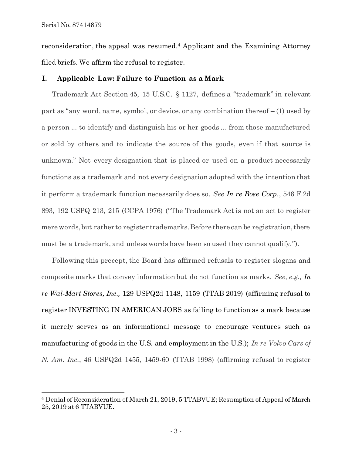Serial No. 87414879

l

reconsideration, the appeal was resumed.<sup>4</sup> Applicant and the Examining Attorney filed briefs. We affirm the refusal to register.

#### **I. Applicable Law: Failure to Function as a Mark**

Trademark Act Section 45, 15 U.S.C. § 1127, defines a "trademark" in relevant part as "any word, name, symbol, or device, or any combination thereof – (1) used by a person ... to identify and distinguish his or her goods ... from those manufactured or sold by others and to indicate the source of the goods, even if that source is unknown." Not every designation that is placed or used on a product necessarily functions as a trademark and not every designation adopted with the intention that it perform a trademark function necessarily does so. *See In re Bose Corp.*, 546 F.2d 893, 192 USPQ 213, 215 (CCPA 1976) ("The Trademark Act is not an act to register mere words, but rather to register trademarks. Before there can be registration, there must be a trademark, and unless words have been so used they cannot qualify.").

Following this precept, the Board has affirmed refusals to register slogans and composite marks that convey information but do not function as marks. *See, e.g., In re Wal-Mart Stores, Inc.,* 129 USPQ2d 1148, 1159 (TTAB 2019) (affirming refusal to register INVESTING IN AMERICAN JOBS as failing to function as a mark because it merely serves as an informational message to encourage ventures such as manufacturing of goods in the U.S. and employment in the U.S.); *In re Volvo Cars of N. Am. Inc.*, 46 USPQ2d 1455, 1459-60 (TTAB 1998) (affirming refusal to register

<sup>4</sup> Denial of Reconsideration of March 21, 2019, 5 TTABVUE; Resumption of Appeal of March 25, 2019 at 6 TTABVUE.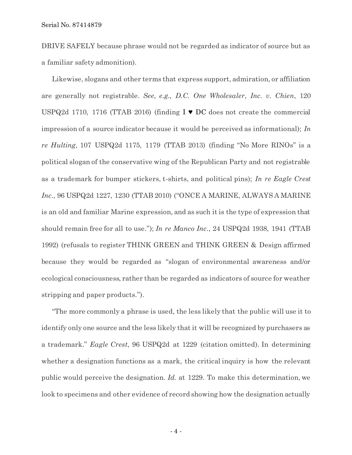Serial No. 87414879

DRIVE SAFELY because phrase would not be regarded as indicator of source but as a familiar safety admonition).

Likewise, slogans and other terms that express support, admiration, or affiliation are generally not registrable. *See, e.g., D.C. One Wholesaler, Inc. v. Chien*, 120 USPQ2d 1710, 1716 (TTAB 2016) (finding  $I \triangleright D C$  does not create the commercial impression of a source indicator because it would be perceived as informational); *In re Hulting*, 107 USPQ2d 1175, 1179 (TTAB 2013) (finding "No More RINOs" is a political slogan of the conservative wing of the Republican Party and not registrable as a trademark for bumper stickers, t-shirts, and political pins); *In re Eagle Crest Inc.*, 96 USPQ2d 1227, 1230 (TTAB 2010) ("ONCE A MARINE, ALWAYS A MARINE is an old and familiar Marine expression, and as such it is the type of expression that should remain free for all to use."); *In re Manco Inc.*, 24 USPQ2d 1938, 1941 (TTAB 1992) (refusals to register THINK GREEN and THINK GREEN & Design affirmed because they would be regarded as "slogan of environmental awareness and/or ecological consciousness, rather than be regarded as indicators of source for weather stripping and paper products.").

"The more commonly a phrase is used, the less likely that the public will use it to identify only one source and the less likely that it will be recognized by purchasers as a trademark." *Eagle Crest*, 96 USPQ2d at 1229 (citation omitted). In determining whether a designation functions as a mark, the critical inquiry is how the relevant public would perceive the designation. *Id.* at 1229. To make this determination, we look to specimens and other evidence of record showing how the designation actually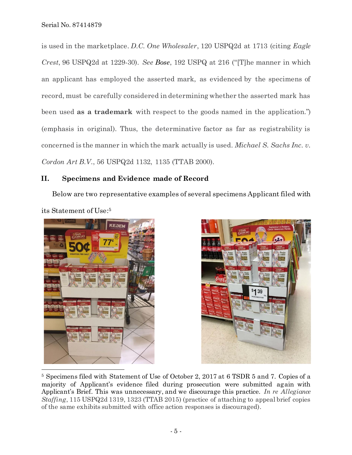is used in the marketplace. *D.C. One Wholesaler*, 120 USPQ2d at 1713 (citing *Eagle Crest*, 96 USPQ2d at 1229-30). *See Bose*, 192 USPQ at 216 ("[T]he manner in which an applicant has employed the asserted mark, as evidenced by the specimens of record, must be carefully considered in determining whether the asserted mark has been used **as a trademark** with respect to the goods named in the application.") (emphasis in original). Thus, the determinative factor as far as registrability is concerned is the manner in which the mark actually is used. *Michael S. Sachs Inc. v. Cordon Art B.V.*, 56 USPQ2d 1132, 1135 (TTAB 2000).

## **II. Specimens and Evidence made of Record**

Below are two representative examples of several specimens Applicant filed with its Statement of Use: 5





<sup>5</sup> Specimens filed with Statement of Use of October 2, 2017 at 6 TSDR 5 and 7. Copies of a majority of Applicant's evidence filed during prosecution were submitted again with Applicant's Brief. This was unnecessary, and we discourage this practice. *In re Allegiance Staffing*, 115 USPQ2d 1319, 1323 (TTAB 2015) (practice of attaching to appeal brief copies of the same exhibits submitted with office action responses is discouraged).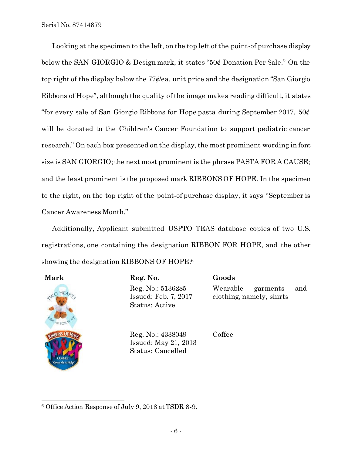Looking at the specimen to the left, on the top left of the point-of purchase display below the SAN GIORGIO & Design mark, it states "50¢ Donation Per Sale." On the top right of the display below the 77¢/ea. unit price and the designation "San Giorgio Ribbons of Hope", although the quality of the image makes reading difficult, it states "for every sale of San Giorgio Ribbons for Hope pasta during September 2017,  $50\ell$ will be donated to the Children's Cancer Foundation to support pediatric cancer research." On each box presented on the display, the most prominent wording in font size is SAN GIORGIO; the next most prominent is the phrase PASTA FOR A CAUSE; and the least prominent is the proposed mark RIBBONS OF HOPE. In the specimen to the right, on the top right of the point-of purchase display, it says "September is Cancer Awareness Month."

Additionally, Applicant submitted USPTO TEAS database copies of two U.S. registrations, one containing the designation RIBBON FOR HOPE, and the other showing the designation RIBBONS OF HOPE:<sup>6</sup>

| <b>CNC</b> |                                   | <b>HEAR</b>            |  |
|------------|-----------------------------------|------------------------|--|
|            |                                   |                        |  |
|            | RIBBON FOR HOT                    |                        |  |
|            |                                   | <b>RIBBONS OF HOPE</b> |  |
|            |                                   |                        |  |
|            | <b>COLLEE</b><br>Grounds to Help" |                        |  |

**Mark Reg. No. Goods** Reg. No.: 5136285 Issued: Feb. 7, 2017 Status: Active

Wearable garments and clothing, namely, shirts

Reg. No.: 4338049 Issued: May 21, 2013 Status: Cancelled

Coffee

l <sup>6</sup> Office Action Response of July 9, 2018 at TSDR 8-9.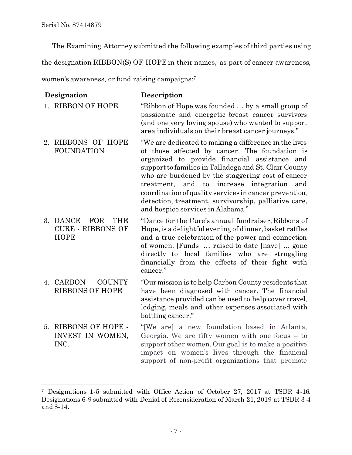l

The Examining Attorney submitted the following examples of third parties using

the designation RIBBON(S) OF HOPE in their names, as part of cancer awareness,

women's awareness, or fund raising campaigns:<sup>7</sup>

| Designation |                                                                                 | Description                                                                                                                                                                                                                                                                                                                                                                                                                                                                          |  |
|-------------|---------------------------------------------------------------------------------|--------------------------------------------------------------------------------------------------------------------------------------------------------------------------------------------------------------------------------------------------------------------------------------------------------------------------------------------------------------------------------------------------------------------------------------------------------------------------------------|--|
|             | 1. RIBBON OF HOPE                                                               | "Ribbon of Hope was founded  by a small group of<br>passionate and energetic breast cancer survivors<br>(and one very loving spouse) who wanted to support<br>area individuals on their breast cancer journeys."                                                                                                                                                                                                                                                                     |  |
| 2.          | RIBBONS OF HOPE<br><b>FOUNDATION</b>                                            | "We are dedicated to making a difference in the lives<br>of those affected by cancer. The foundation is<br>organized to provide financial assistance and<br>support to families in Talladega and St. Clair County<br>who are burdened by the staggering cost of cancer<br>treatment, and to<br>increase<br>integration<br>and<br>coordination of quality services in cancer prevention,<br>detection, treatment, survivorship, palliative care,<br>and hospice services in Alabama." |  |
|             | 3. DANCE<br><b>FOR</b><br><b>THE</b><br><b>CURE - RIBBONS OF</b><br><b>HOPE</b> | "Dance for the Cure's annual fundraiser, Ribbons of<br>Hope, is a delightful evening of dinner, basket raffles<br>and a true celebration of the power and connection<br>of women. [Funds]  raised to date [have]  gone<br>directly to local families who are struggling<br>financially from the effects of their fight with<br>cancer."                                                                                                                                              |  |
|             | 4. CARBON<br><b>COUNTY</b><br><b>RIBBONS OF HOPE</b>                            | "Our mission is to help Carbon County residents that<br>have been diagnosed with cancer. The financial<br>assistance provided can be used to help cover travel,<br>lodging, meals and other expenses associated with<br>battling cancer."                                                                                                                                                                                                                                            |  |
| 5.          | <b>RIBBONS OF HOPE -</b><br>INVEST IN WOMEN,<br>INC.                            | "[We are] a new foundation based in Atlanta,<br>Georgia. We are fifty women with one focus $-$ to<br>support other women. Our goal is to make a positive<br>impact on women's lives through the financial<br>support of non-profit organizations that promote                                                                                                                                                                                                                        |  |

<sup>7</sup> Designations 1-5 submitted with Office Action of October 27, 2017 at TSDR 4-16. Designations 6-9 submitted with Denial of Reconsideration of March 21, 2019 at TSDR 3-4 and 8-14.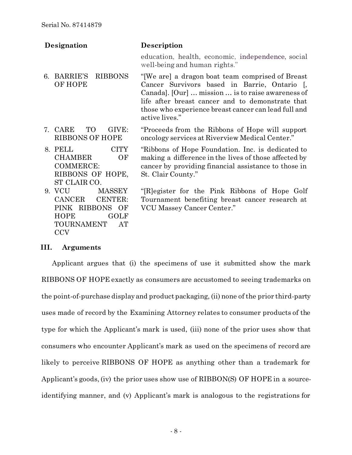| Designation                                                                                                                            | <b>Description</b>                                                                                                                                                                                                                                                                   |  |  |
|----------------------------------------------------------------------------------------------------------------------------------------|--------------------------------------------------------------------------------------------------------------------------------------------------------------------------------------------------------------------------------------------------------------------------------------|--|--|
|                                                                                                                                        | education, health, economic, independence, social<br>well-being and human rights."                                                                                                                                                                                                   |  |  |
| <b>BARRIE'S</b><br><b>RIBBONS</b><br>6.<br><b>OF HOPE</b>                                                                              | "[We are] a dragon boat team comprised of Breast"<br>Cancer Survivors based in Barrie, Ontario [,<br>Canada]. [Our]  mission  is to raise awareness of<br>life after breast cancer and to demonstrate that<br>those who experience breast cancer can lead full and<br>active lives." |  |  |
| TO.<br>7. CARE<br>GIVE:<br><b>RIBBONS OF HOPE</b>                                                                                      | "Proceeds from the Ribbons of Hope will support<br>oncology services at Riverview Medical Center."                                                                                                                                                                                   |  |  |
| <b>CITY</b><br>8. PELL<br><b>CHAMBER</b><br>OF<br><b>COMMERCE:</b><br>RIBBONS OF HOPE,<br>ST CLAIR CO.                                 | "Ribbons of Hope Foundation. Inc. is dedicated to<br>making a difference in the lives of those affected by<br>cancer by providing financial assistance to those in<br>St. Clair County."                                                                                             |  |  |
| 9. VCU<br><b>MASSEY</b><br>CANCER<br><b>CENTER:</b><br>PINK RIBBONS OF<br><b>HOPE</b><br>GOLF<br><b>TOURNAMENT</b><br>AT<br><b>CCV</b> | "[R] egister for the Pink Ribbons of Hope Golf"<br>Tournament benefiting breast cancer research at<br>VCU Massey Cancer Center."                                                                                                                                                     |  |  |

#### **III. Arguments**

Applicant argues that (i) the specimens of use it submitted show the mark RIBBONS OF HOPE exactly as consumers are accustomed to seeing trademarks on the point-of-purchase display and product packaging, (ii) none of the prior third-party uses made of record by the Examining Attorney relates to consumer products of the type for which the Applicant's mark is used, (iii) none of the prior uses show that consumers who encounter Applicant's mark as used on the specimens of record are likely to perceive RIBBONS OF HOPE as anything other than a trademark for Applicant's goods, (iv) the prior uses show use of RIBBON(S) OF HOPE in a sourceidentifying manner, and (v) Applicant's mark is analogous to the registrations for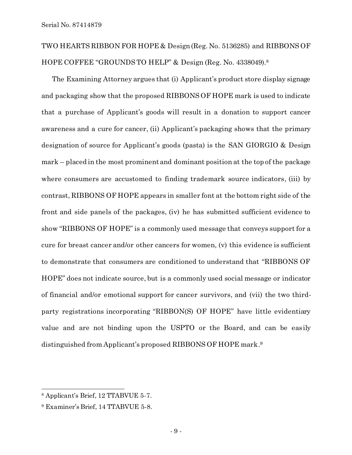# TWO HEARTS RIBBON FOR HOPE & Design(Reg. No. 5136285) and RIBBONS OF HOPE COFFEE "GROUNDS TO HELP" & Design (Reg. No. 4338049).<sup>8</sup>

The Examining Attorney argues that (i) Applicant's product store display signage and packaging show that the proposed RIBBONS OF HOPE mark is used to indicate that a purchase of Applicant's goods will result in a donation to support cancer awareness and a cure for cancer, (ii) Applicant's packaging shows that the primary designation of source for Applicant's goods (pasta) is the SAN GIORGIO & Design mark – placed in the most prominent and dominant position at the top of the package where consumers are accustomed to finding trademark source indicators, (iii) by contrast, RIBBONS OF HOPE appears in smaller font at the bottom right side of the front and side panels of the packages, (iv) he has submitted sufficient evidence to show "RIBBONS OF HOPE" is a commonly used message that conveys support for a cure for breast cancer and/or other cancers for women, (v) this evidence is sufficient to demonstrate that consumers are conditioned to understand that "RIBBONS OF HOPE" does not indicate source, but is a commonly used social message or indicator of financial and/or emotional support for cancer survivors, and (vii) the two thirdparty registrations incorporating "RIBBON(S) OF HOPE" have little evidentiary value and are not binding upon the USPTO or the Board, and can be easily distinguished from Applicant's proposed RIBBONS OF HOPE mark. 9

l

<sup>8</sup> Applicant's Brief, 12 TTABVUE 5-7.

<sup>9</sup> Examiner's Brief, 14 TTABVUE 5-8.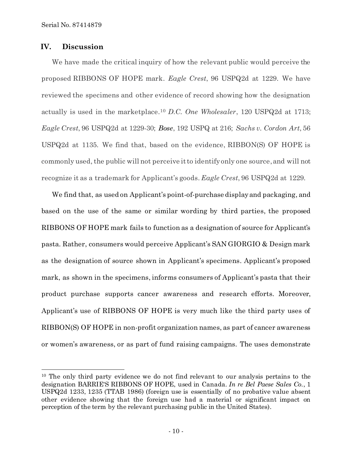#### **IV. Discussion**

l

We have made the critical inquiry of how the relevant public would perceive the proposed RIBBONS OF HOPE mark. *Eagle Crest*, 96 USPQ2d at 1229. We have reviewed the specimens and other evidence of record showing how the designation actually is used in the marketplace.<sup>10</sup> *D.C. One Wholesaler*, 120 USPQ2d at 1713; *Eagle Crest*, 96 USPQ2d at 1229-30; *Bose*, 192 USPQ at 216; *Sachs v. Cordon Art*, 56 USPQ2d at 1135. We find that, based on the evidence, RIBBON(S) OF HOPE is commonly used, the public will not perceive it to identify only one source, and will not recognize it as a trademark for Applicant's goods. *Eagle Crest*, 96 USPQ2d at 1229.

We find that, as used on Applicant's point-of-purchase display and packaging, and based on the use of the same or similar wording by third parties, the proposed RIBBONS OF HOPE mark fails to function as a designation of source for Applicant's pasta. Rather, consumers would perceive Applicant's SAN GIORGIO & Design mark as the designation of source shown in Applicant's specimens. Applicant's proposed mark, as shown in the specimens, informs consumers of Applicant's pasta that their product purchase supports cancer awareness and research efforts. Moreover, Applicant's use of RIBBONS OF HOPE is very much like the third party uses of RIBBON(S) OF HOPE in non-profit organization names, as part of cancer awareness or women's awareness, or as part of fund raising campaigns. The uses demonstrate

<sup>&</sup>lt;sup>10</sup> The only third party evidence we do not find relevant to our analysis pertains to the designation BARRIE'S RIBBONS OF HOPE, used in Canada. *In re Bel Paese Sales Co.*, 1 USPQ2d 1233, 1235 (TTAB 1986) (foreign use is essentially of no probative value absent other evidence showing that the foreign use had a material or significant impact on perception of the term by the relevant purchasing public in the United States).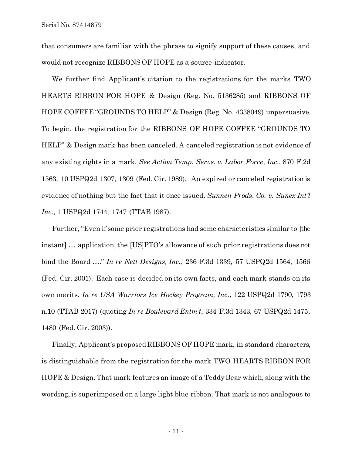Serial No. 87414879

that consumers are familiar with the phrase to signify support of these causes, and would not recognize RIBBONS OF HOPE as a source-indicator.

We further find Applicant's citation to the registrations for the marks TWO HEARTS RIBBON FOR HOPE & Design (Reg. No. 5136285) and RIBBONS OF HOPE COFFEE "GROUNDS TO HELP" & Design (Reg. No. 4338049) unpersuasive. To begin, the registration for the RIBBONS OF HOPE COFFEE "GROUNDS TO HELP" & Design mark has been canceled. A canceled registration is not evidence of any existing rights in a mark. *See Action Temp. Servs. v. Labor Force, Inc.*, 870 F.2d 1563, 10 USPQ2d 1307, 1309 (Fed. Cir. 1989). An expired or canceled registration is evidence of nothing but the fact that it once issued. *Sunnen Prods. Co. v. Sunex Int'l Inc.*, 1 USPQ2d 1744, 1747 (TTAB 1987).

Further, "Even if some prior registrations had some characteristics similar to [the instant] … application, the [US]PTO's allowance of such prior registrations does not bind the Board …." *In re Nett Designs, Inc.*, 236 F.3d 1339, 57 USPQ2d 1564, 1566 (Fed. Cir. 2001). Each case is decided on its own facts, and each mark stands on its own merits. *In re USA Warriors Ice Hockey Program, Inc.*, 122 USPQ2d 1790, 1793 n.10 (TTAB 2017) (quoting *In re Boulevard Entm't*, 334 F.3d 1343, 67 USPQ2d 1475, 1480 (Fed. Cir. 2003)).

Finally, Applicant's proposed RIBBONS OF HOPE mark, in standard characters, is distinguishable from the registration for the mark TWO HEARTS RIBBON FOR HOPE & Design. That mark features an image of a Teddy Bear which, along with the wording, is superimposed on a large light blue ribbon. That mark is not analogous to